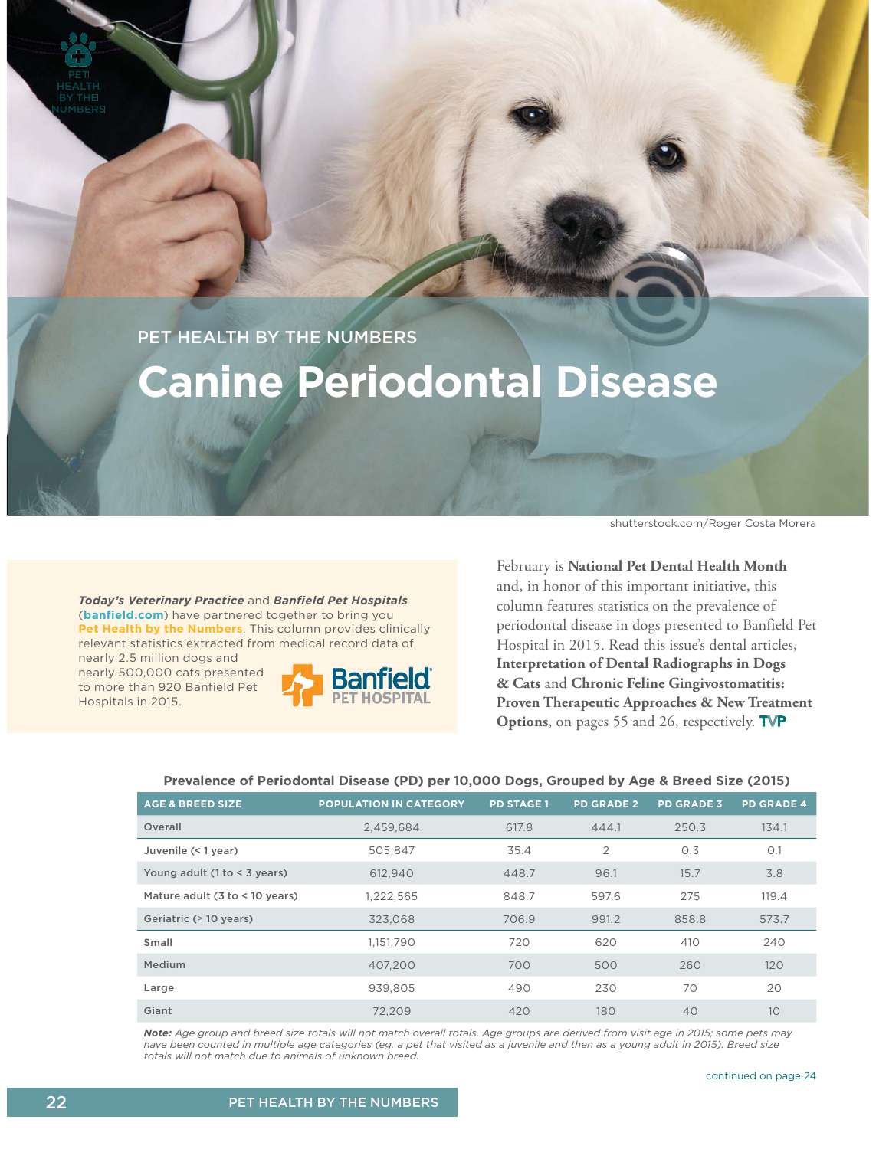NUMBERS

PET HEALTH BY THE NUMBERS

## **Canine Periodontal Disease**

*Today's Veterinary Practice* and *Banfield Pet Hospitals* (**banfield.com**) have partnered together to bring you **Pet Health by the Numbers**. This column provides clinically relevant statistics extracted from medical record data of nearly 2.5 million dogs and

nearly 500,000 cats presented to more than 920 Banfield Pet Hospitals in 2015.



shutterstock.com/Roger Costa Morera

February is **National Pet Dental Health Month** and, in honor of this important initiative, this column features statistics on the prevalence of periodontal disease in dogs presented to Banfield Pet Hospital in 2015. Read this issue's dental articles, **Interpretation of Dental Radiographs in Dogs & Cats** and **Chronic Feline Gingivostomatitis: Proven Therapeutic Approaches & New Treatment Options**, on pages 55 and 26, respectively. **TVP** 

## **Prevalence of Periodontal Disease (PD) per 10,000 Dogs, Grouped by Age & Breed Size (2015)**

| <b>AGE &amp; BREED SIZE</b>                     | <b>POPULATION IN CATEGORY</b> | <b>PD STAGE 1</b> | <b>PD GRADE 2</b> | <b>PD GRADE 3</b> | <b>PD GRADE 4</b> |
|-------------------------------------------------|-------------------------------|-------------------|-------------------|-------------------|-------------------|
| Overall                                         | 2.459.684                     | 617.8             | 444.1             | 250.3             | 134.1             |
| Juvenile (< 1 year)                             | 505.847                       | 35.4              | $\overline{2}$    | 0.3               | O.1               |
| Young adult (1 to < 3 years)                    | 612,940                       | 448.7             | 96.1              | 15.7              | 3.8               |
| Mature adult $(3 \text{ to } 10 \text{ years})$ | 1,222,565                     | 848.7             | 597.6             | 275               | 119.4             |
| Geriatric ( $\geq 10$ years)                    | 323.068                       | 706.9             | 991.2             | 858.8             | 573.7             |
| Small                                           | 1,151,790                     | 720               | 620               | 410               | 240               |
| Medium                                          | 407.200                       | 700               | 500               | 260               | 120               |
| Large                                           | 939.805                       | 490               | 230               | 70                | 20                |
| Giant                                           | 72,209                        | 420               | 180               | 40                | 10                |

*Note: Age group and breed size totals will not match overall totals. Age groups are derived from visit age in 2015; some pets may have been counted in multiple age categories (eg, a pet that visited as a juvenile and then as a young adult in 2015). Breed size totals will not match due to animals of unknown breed.*